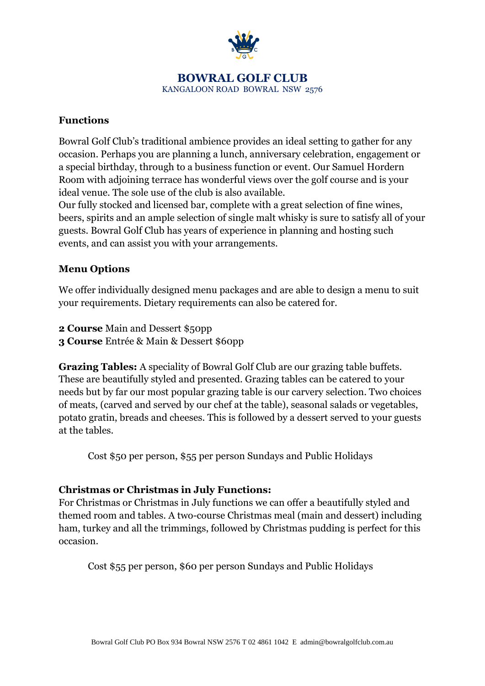

#### **BOWRAL GOLF CLUB** KANGALOON ROAD BOWRAL NSW 2576

### **Functions**

Bowral Golf Club's traditional ambience provides an ideal setting to gather for any occasion. Perhaps you are planning a lunch, anniversary celebration, engagement or a special birthday, through to a business function or event. Our Samuel Hordern Room with adjoining terrace has wonderful views over the golf course and is your ideal venue. The sole use of the club is also available.

Our fully stocked and licensed bar, complete with a great selection of fine wines, beers, spirits and an ample selection of single malt whisky is sure to satisfy all of your guests. Bowral Golf Club has years of experience in planning and hosting such events, and can assist you with your arrangements.

### **Menu Options**

We offer individually designed menu packages and are able to design a menu to suit your requirements. Dietary requirements can also be catered for.

- **2 Course** Main and Dessert \$50pp
- **3 Course** Entrée & Main & Dessert \$60pp

**Grazing Tables:** A speciality of Bowral Golf Club are our grazing table buffets. These are beautifully styled and presented. Grazing tables can be catered to your needs but by far our most popular grazing table is our carvery selection. Two choices of meats, (carved and served by our chef at the table), seasonal salads or vegetables, potato gratin, breads and cheeses. This is followed by a dessert served to your guests at the tables.

Cost \$50 per person, \$55 per person Sundays and Public Holidays

## **Christmas or Christmas in July Functions:**

For Christmas or Christmas in July functions we can offer a beautifully styled and themed room and tables. A two-course Christmas meal (main and dessert) including ham, turkey and all the trimmings, followed by Christmas pudding is perfect for this occasion.

Cost \$55 per person, \$60 per person Sundays and Public Holidays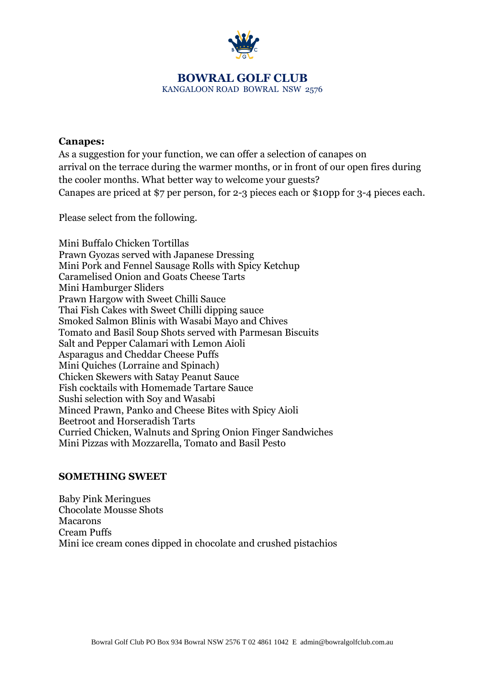

# **BOWRAL GOLF CLUB**

KANGALOON ROAD BOWRAL NSW 2576

#### **Canapes:**

As a suggestion for your function, we can offer a selection of canapes on arrival on the terrace during the warmer months, or in front of our open fires during the cooler months. What better way to welcome your guests? Canapes are priced at \$7 per person, for 2-3 pieces each or \$10pp for 3-4 pieces each.

Please select from the following.

Mini Buffalo Chicken Tortillas Prawn Gyozas served with Japanese Dressing Mini Pork and Fennel Sausage Rolls with Spicy Ketchup Caramelised Onion and Goats Cheese Tarts Mini Hamburger Sliders Prawn Hargow with Sweet Chilli Sauce Thai Fish Cakes with Sweet Chilli dipping sauce Smoked Salmon Blinis with Wasabi Mayo and Chives Tomato and Basil Soup Shots served with Parmesan Biscuits Salt and Pepper Calamari with Lemon Aioli Asparagus and Cheddar Cheese Puffs Mini Quiches (Lorraine and Spinach) Chicken Skewers with Satay Peanut Sauce Fish cocktails with Homemade Tartare Sauce Sushi selection with Soy and Wasabi Minced Prawn, Panko and Cheese Bites with Spicy Aioli Beetroot and Horseradish Tarts Curried Chicken, Walnuts and Spring Onion Finger Sandwiches Mini Pizzas with Mozzarella, Tomato and Basil Pesto

#### **SOMETHING SWEET**

Baby Pink Meringues Chocolate Mousse Shots Macarons Cream Puffs Mini ice cream cones dipped in chocolate and crushed pistachios